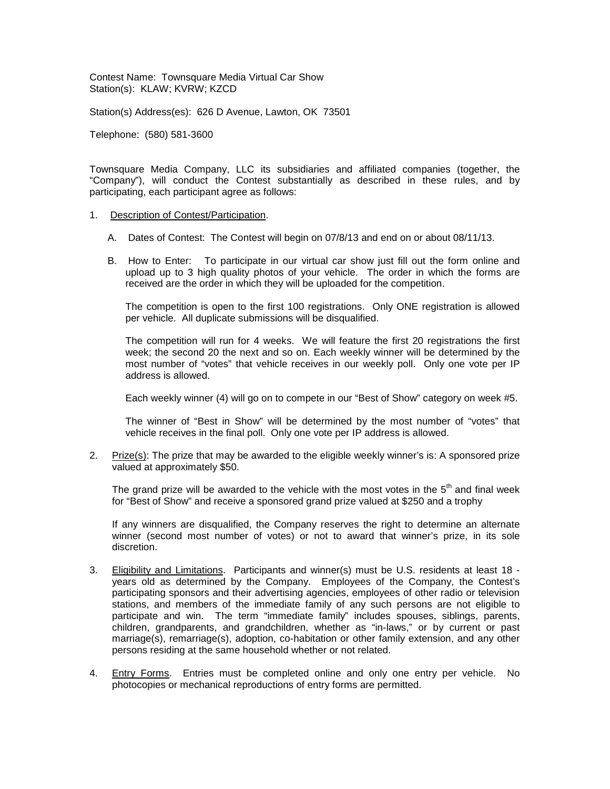Contest Name: Townsquare Media Virtual Car Show Station(s): KLAW; KVRW; KZCD

Station(s) Address(es): 626 D Avenue, Lawton, OK 73501

Telephone: (580) 581-3600

Townsquare Media Company, LLC its subsidiaries and affiliated companies (together, the "Company"), will conduct the Contest substantially as described in these rules, and by participating, each participant agree as follows:

## 1. Description of Contest/Participation.

- A. Dates of Contest: The Contest will begin on 07/8/13 and end on or about 08/11/13.
- B. How to Enter: To participate in our virtual car show just fill out the form online and upload up to 3 high quality photos of your vehicle. The order in which the forms are received are the order in which they will be uploaded for the competition.

The competition is open to the first 100 registrations. Only ONE registration is allowed per vehicle. All duplicate submissions will be disqualified.

The competition will run for 4 weeks. We will feature the first 20 registrations the first week; the second 20 the next and so on. Each weekly winner will be determined by the most number of "votes" that vehicle receives in our weekly poll. Only one vote per IP address is allowed.

Each weekly winner (4) will go on to compete in our "Best of Show" category on week #5.

The winner of "Best in Show" will be determined by the most number of "votes" that vehicle receives in the final poll. Only one vote per IP address is allowed.

2. Prize(s): The prize that may be awarded to the eligible weekly winner's is: A sponsored prize valued at approximately \$50.

The grand prize will be awarded to the vehicle with the most votes in the  $5<sup>th</sup>$  and final week for "Best of Show" and receive a sponsored grand prize valued at \$250 and a trophy

If any winners are disqualified, the Company reserves the right to determine an alternate winner (second most number of votes) or not to award that winner's prize, in its sole discretion.

- 3. Eligibility and Limitations. Participants and winner(s) must be U.S. residents at least 18 years old as determined by the Company. Employees of the Company, the Contest's participating sponsors and their advertising agencies, employees of other radio or television stations, and members of the immediate family of any such persons are not eligible to participate and win. The term "immediate family" includes spouses, siblings, parents, children, grandparents, and grandchildren, whether as "in-laws," or by current or past marriage(s), remarriage(s), adoption, co-habitation or other family extension, and any other persons residing at the same household whether or not related.
- 4. Entry Forms. Entries must be completed online and only one entry per vehicle. No photocopies or mechanical reproductions of entry forms are permitted.